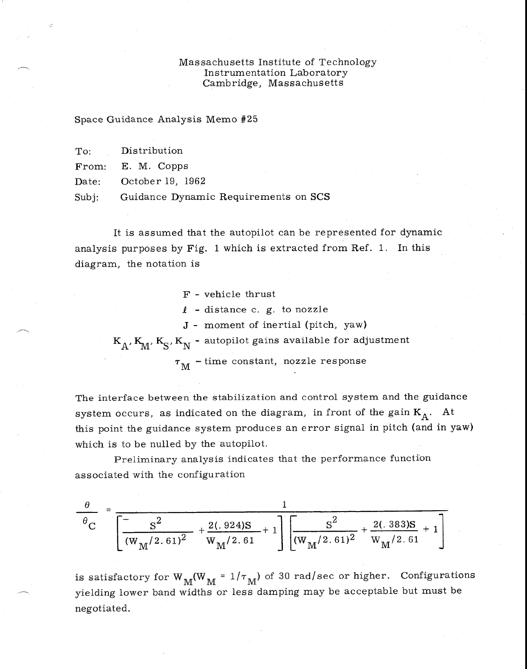## Massachusetts Institute of Technology Instrumentation Laboratory Cambridge, Massachusetts

Space Guidance Analysis Memo #25

| To: | Distribution |
|-----|--------------|
|     |              |

From: E. M. Copps

Date: October 19, 1962

Subj: Guidance Dynamic Requirements on SCS

It is assumed that the autopilot can be represented for dynamic analysis purposes by Fig. 1 which is extracted from Ref. 1. In this diagram, the notation is

> F - vehicle thrust *./2* - distance c. g. to nozzle J - moment of inertial (pitch, yaw)  $K_A, K_M, K_S, K_N$  - autopilot gains available for adjustment  $\tau_{\text{M}}$  -time constant, nozzle response

The interface between the stabilization and control system and the guidance system occurs, as indicated on the diagram, in front of the gain  $K_A$ . At this point the guidance system produces an error signal in pitch (and in yaw) which is to be nulled by the autopilot.

Preliminary analysis indicates that the performance function associated with the configuration

$$
\frac{\theta}{\theta_{\text{C}}} = \frac{1}{\left[\frac{S^2}{(W_M/2.61)^2} + \frac{2(.924)S}{W_M/2.61} + 1\right] \left[\frac{S^2}{(W_M/2.61)^2} + \frac{2(.383)S}{W_M/2.61} + 1\right]}
$$

is satisfactory for  $W_M (W_M = 1/\tau_M)$  of 30 rad/sec or higher. Configurations yielding lower band widths or less damping may be acceptable but must be negotiated.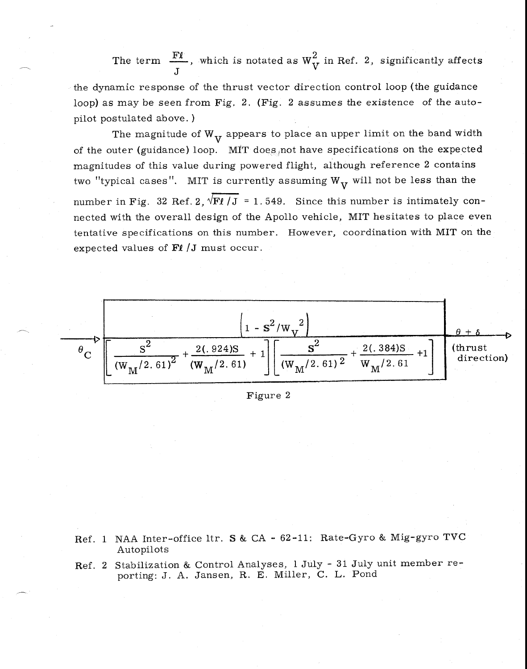The term  $\frac{F\ell}{J}$ , which is notated as  $W_V^2$  in Ref. 2, significantly affects

the dynamic response of the thrust vector direction control loop (the guidance loop) as may be seen from Fig, 2. (Fig. 2 assumes the existence of the autopilot postulated above. )

The magnitude of  $W_{\mathbf{V}}$  appears to place an upper limit on the band width of the outer (guidance) loop. MIT does not have specifications on the expected magnitudes of this value during powered flight, although reference 2 contains two "typical cases". MIT is currently assuming  $W_{V}$  will not be less than the number in Fig. 32 Ref. 2,  $\sqrt{F1/J}$  = 1.549. Since this number is intimately connected with the overall design of the Apollo vehicle, MIT hesitates to place even tentative specifications on this number. However, coordination with MIT on the expected values of  $\mathbf{F}$ l / J must occur.



Figure 2

Ref. 1 NAA Inter-office ltr. S & CA - 62-11: Rate-Gyro & Mig-gyro TVC Autopilots

Ref. 2 Stabilization & Control Analyses, 1 July - 31 July unit member reporting: J. A. Jansen, R. E. Miller, C. L. Pond